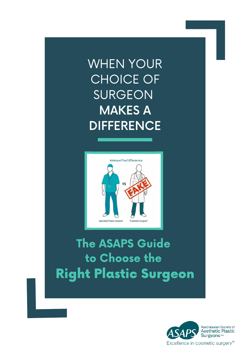# WHEN YOUR CHOICE OF SURGEON MAKES A **DIFFERENCE**



# The ASAPS Guide to Choose the Right Plastic Surgeon

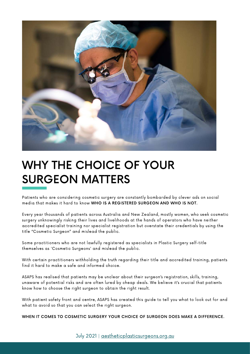

## WHY THE CHOICE OF YOUR SURGEON MATTERS

Patients who are considering cosmetic surgery are constantly bombarded by clever ads on social media that makes it hard to know WHO IS A REGISTERED SURGEON AND WHO IS NOT.

Every year thousands of patients across Australia and New Zealand, mostly women, who seek cosmetic surgery unknowingly risking their lives and livelihoods at the hands of operators who have neither accredited specialist training nor specialist registration but overstate their credentials by using the title "Cosmetic Surgeon" and mislead the public.

Some practitioners who are not lawfully registered as specialists in Plastic Surgery self-title themselves as 'Cosmetic Surgeons' and mislead the public.

With certain practitioners withholding the truth regarding their title and accredited training, patients find it hard to make a safe and informed choice.

ASAPS has realised that patients may be unclear about their surgeon's registration, skills, training, unaware of potential risks and are often lured by cheap deals. We believe it's crucial that patients know how to choose the right surgeon to obtain the right result.

With patient safety front and centre, ASAPS has created this guide to tell you what to look out for and what to avoid so that you can select the right surgeon.

WHEN IT COMES TO COSMETIC SURGERY YOUR CHOICE OF SURGEON DOES MAKE A DIFFERENCE.

July 2021 | [aestheticplasticsurgeons.org.au](https://aestheticplasticsurgeons.org.au/)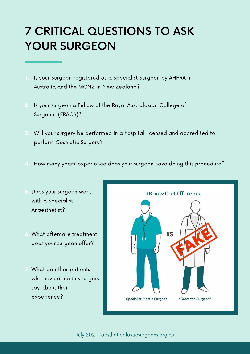# 7 CRITICAL QUESTIONS TO ASK YOUR SURGEON

- Is your Surgeon registered as a Specialist Surgeon by AHPRA in Australia and the MCNZ in New Zealand?
- Is your surgeon a Fellow of the Royal Australasian College of Surgeons (FRACS)?
- Will your surgery be performed in a hospital licensed and accredited to perform Cosmetic Surgery?
- How many years' experience does your surgeon have doing this procedure?
- Does your surgeon work 5. with a Specialist Anaesthetist?
- What aftercare treatment 6. does your surgeon offer?
- What do other patients 7.who have done this surgery say about their experience?

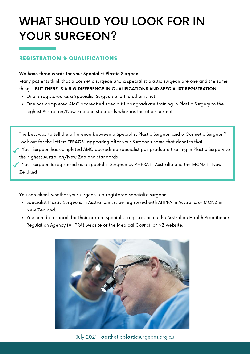# WHAT SHOULD YOU LOOK FOR IN YOUR SURGEON?

### REGISTRATION & QUALIFICATIONS

### We have three words for you: Specialist Plastic Surgeon.

Many patients think that a cosmetic surgeon and a specialist plastic surgeon are one and the same thing – BUT THERE IS A BIG DIFFERENCE IN QUALIFICATIONS AND SPECIALIST REGISTRATION.

- One is registered as a Specialist Surgeon and the other is not.
- One has completed AMC accredited specialist postgraduate training in Plastic Surgery to the highest Australian/New Zealand standards whereas the other has not.

The best way to tell the difference between a Specialist Plastic Surgeon and a Cosmetic Surgeon? Look out for the letters "FRACS" appearing after your Surgeon's name that denotes that

- Your Surgeon has completed AMC accredited specialist postgraduate training in Plastic Surgery to the highest Australian/New Zealand standards
- Your Surgeon is registered as a Specialist Surgeon by AHPRA in Australia and the MCNZ in New Zealand

You can check whether your surgeon is a registered specialist surgeon.

- Specialist Plastic Surgeons in Australia must be registered with AHPRA in Australia or MCNZ in New Zealand.
- You can do a search for their area of specialist registration on the Australian Health Practitioner Regulation Agency [\(AHPRA\) website](http://www.ahpra.gov.au/) or the [Medical](http://www.mcnz.org.nz/) Council of NZ website.



July 2021 | [aestheticplasticsurgeons.org.au](https://aestheticplasticsurgeons.org.au/)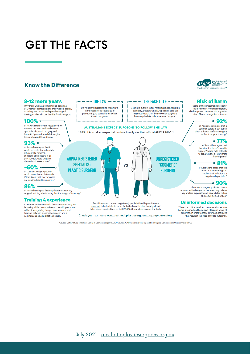## GET THE FACTS

### **Know the Difference**

#### 8-12 more years

Only those who have completed an additional 8-12 years of training beyond their medical degree, including AMC accredited specialist surgical training, can lawfully use the title Plastic Surgeon.

#### 100% ←

of ASAPS members are recognised by AHPRA, the AMC and Medicare as<br>specialists in plastic surgery, and have 8-12 years of specialist surgical training beyond their degree.

#### $93%$

of Australians agree that it<br>would be easier for patients to differentiate between surgeons and doctors, if all<br>practitioners were to go by their official AHPRA title \*

#### $-60\%$   $\circ$

of cosmetic surgery patients would have chosen differently If they knew their doctors were not qualified plastic surgeons.

#### $86%$   $\circ$

of Australians agree that any doctor without any surgical training who is using the title 'surgeon' is wrong.'

#### **Training & experience**

Consumers often conclude that a cosmetic surgeon is best qualified to undertake a cosmetic procedure without recognising the gap in experience and training between a cosmetic surgeon and a registered specialist plastic surgeon.

#### --------- THE LAW -----------; ---------- THE FAKE TITLE ---------

Cosmetic surgery is not recognised as a separate speciality. Doctors with NO specialist surgical<br>registration portray themselves as surgeons by using the fake title. 'Cosmetic Surgeon'.

ᢑ

**UNREGISTERED** 

**COSMETIC"** 

**SURGEON** 

#### ÷. **AUSTRALIANS EXPECT SURGEONS TO FOLLOW THE LAW**

[ 93% of Australians expect all doctors to only use their official AHPRA title\* ]

-i



Only doctors registered as specialists

in the recognised speciality of<br>plastic surgery' can call themselves

'Plastic Surgeons'.

ũ.

Practitioners who are not registered, specialist health practitioners must not falsely claim to be so. Individuals and bodies found guilty of false claims, can be fined up to \$120,000, 3 years imprisonment or both.

Check your surgeon: www.aestheticplasticsurgeons.org.au/your-safety

\*Source: McNair Study on Patient Safety in Cosmetic Surgery (2019) \*Source: ASAPS Cosmetic Surgery and Non-Surgical Complications Questionnaire (2019)



### **Risk of harm**

Some of these 'cosmetic surgeons' bold elementary medical degrees,<br>which exposes consumers to a greater risk of harm or negative outcome

#### ⊸ 92%

of Australians believe that a patient's safety is put at risk<br>when a doctor performs surgery without surgical training.

#### ⊸ 77%

of Australians agree that banning the term "cosmetic surgeon" would help patients<br>to separate the doctors from the surgeons."

#### $\cdot$  81%

of Australians agree that the title of 'Cosmetic Surgeon' implies that a doctor is a<br>registered specialist.\*

### ∘ 90%

of cosmetic surgery patients choose non-accredited surgeons because they believe they are less expensive and have visible online and social media profiles.

#### **Uninformed decisions**

There is a critical need for consumers to become better informed on the correct titles and levels of expertise, in order to make informed decisions that result in the best, possible outcomes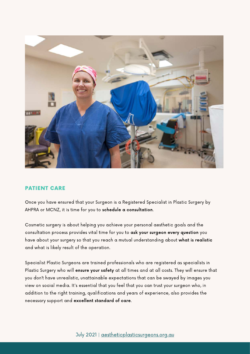

### PATIENT CARE

Once you have ensured that your Surgeon is a Registered Specialist in Plastic Surgery by AHPRA or MCNZ, it is time for you to schedule a consultation.

Cosmetic surgery is about helping you achieve your personal aesthetic goals and the consultation process provides vital time for you to ask your surgeon every question you have about your surgery so that you reach a mutual understanding about what is realistic and what is likely result of the operation.

Specialist Plastic Surgeons are trained professionals who are registered as specialists in Plastic Surgery who will ensure your safety at all times and at all costs. They will ensure that you don't have unrealistic, unattainable expectations that can be swayed by images you view on social media. It's essential that you feel that you can trust your surgeon who, in addition to the right training, qualifications and years of experience, also provides the necessary support and excellent standard of care.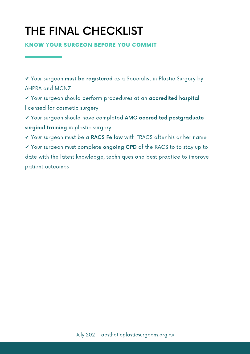# THE FINAL CHECKLIST

KNOW YOUR SURGEON BEFORE YOU COMMIT

✔ Your surgeon must be registered as a Specialist in Plastic Surgery by AHPRA and MCNZ

✔ Your surgeon should perform procedures at an accredited hospital licensed for cosmetic surgery

✔ Your surgeon should have completed AMC accredited postgraduate surgical training in plastic surgery

✔ Your surgeon must be a RACS Fellow with FRACS after his or her name ✔ Your surgeon must complete ongoing CPD of the RACS to to stay up to date with the latest knowledge, techniques and best practice to improve patient outcomes